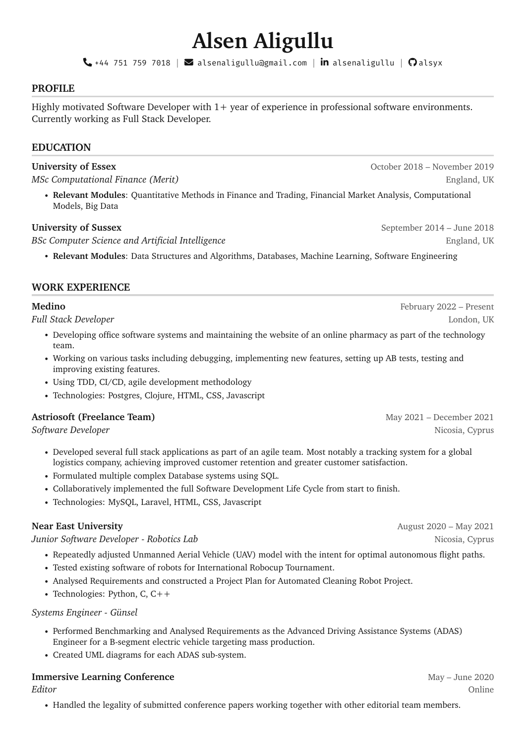# **Alsen Aligullu**

 $\mathbf{Q}$ +44 751 759 7018 |  $\mathbf{Q}$  [alsenaligullu](https://www.linkedin.com/in/alsenaligullu)@gmail.com | in alsenaligullu |  $\mathbf{\Omega}$ [alsyx](https://github.com/alsyx)

## **PROFILE**

Highly motivated Software Developer with 1+ year of experience in professional software environments. Currently working as Full Stack Developer.

# **EDUCATION**

#### **University of Essex** October 2018 – November 2019

*MSc Computational Finance (Merit)* England, UK and the set of the set of the set of the set of the set of the set of the set of the set of the set of the set of the set of the set of the set of the set of the set of the

• **Relevant Modules**: Quantitative Methods in Finance and Trading, Financial Market Analysis, Computational Models, Big Data

### **University of Sussex** September 2014 – June 2018

**BSc Computer Science and Artificial Intelligence** England, UK and the England, UK

• **Relevant Modules**: Data Structures and Algorithms, Databases, Machine Learning, Software Engineering

# **WORK EXPERIENCE**

| ill bluch Developer                                                                                              | LUIRUII, U |  |
|------------------------------------------------------------------------------------------------------------------|------------|--|
| • Developing office software systems and maintaining the website of an online pharmacy as part of the technology |            |  |
| team.                                                                                                            |            |  |

- Working on various tasks including debugging, implementing new features, setting up AB tests, testing and improving existing features.
- Using TDD, CI/CD, agile development methodology
- Technologies: Postgres, Clojure, HTML, CSS, Javascript

#### **Astriosoft (Freelance Team)** May 2021 – December 2021

*Software Developer* Nicosia, Cyprus

- Developed several full stack applications as part of an agile team. Most notably a tracking system for a global logistics company, achieving improved customer retention and greater customer satisfaction.
- Formulated multiple complex Database systems using SQL.
- Collaboratively implemented the full Software Development Life Cycle from start to finish.
- Technologies: MySQL, Laravel, HTML, CSS, Javascript

*Junior Software Developer - Robotics Lab* Nicosia, Cyprus

- Repeatedly adjusted Unmanned Aerial Vehicle (UAV) model with the intent for optimal autonomous flight paths.
- Tested existing software of robots for International Robocup Tournament.
- Analysed Requirements and constructed a Project Plan for Automated Cleaning Robot Project.
- Technologies: Python, C, C++

#### *Systems Engineer - Günsel*

- Performed Benchmarking and Analysed Requirements as the Advanced Driving Assistance Systems (ADAS) Engineer for a B-segment electric vehicle targeting mass production.
- Created UML diagrams for each ADAS sub-system.

#### **Immersive Learning Conference** May – June 2020

*Editor* Online

• Handled the legality of submitted conference papers working together with other editorial team members.

**Near East University** August 2020 – May 2021

**Medino** February 2022 – Present *Full Stack Developer* London, UK